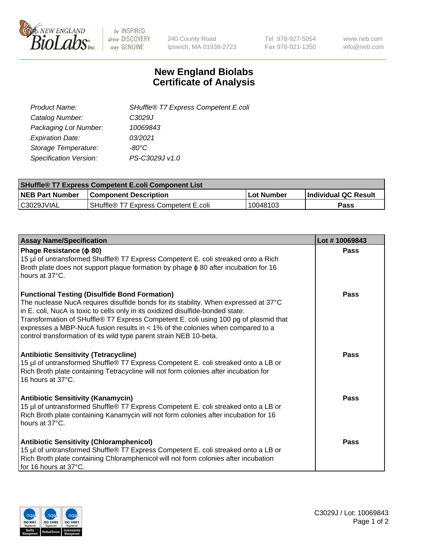

 $be$  INSPIRED drive DISCOVERY stay GENUINE

240 County Road Ipswich, MA 01938-2723 Tel 978-927-5054 Fax 978-921-1350 www.neb.com info@neb.com

## **New England Biolabs Certificate of Analysis**

| Product Name:                 | SHuffle® T7 Express Competent E.coli |
|-------------------------------|--------------------------------------|
| Catalog Number:               | C3029J                               |
| Packaging Lot Number:         | 10069843                             |
| <b>Expiration Date:</b>       | 03/2021                              |
| Storage Temperature:          | -80°C                                |
| <b>Specification Version:</b> | PS-C3029J v1.0                       |
|                               |                                      |

| <b>SHuffle<sup>®</sup> T7 Express Competent E.coli Component List</b> |                                      |            |                             |  |
|-----------------------------------------------------------------------|--------------------------------------|------------|-----------------------------|--|
| <b>NEB Part Number</b>                                                | l Component Description              | Lot Number | <b>Individual QC Result</b> |  |
| C3029JVIAL                                                            | SHuffle® T7 Express Competent E.coli | 10048103   | <b>Pass</b>                 |  |

| <b>Assay Name/Specification</b>                                                                                                                                                                                                                                                                                                                                                                                                                                                   | Lot #10069843 |
|-----------------------------------------------------------------------------------------------------------------------------------------------------------------------------------------------------------------------------------------------------------------------------------------------------------------------------------------------------------------------------------------------------------------------------------------------------------------------------------|---------------|
| Phage Resistance ( $\phi$ 80)<br>15 µl of untransformed Shuffle® T7 Express Competent E. coli streaked onto a Rich<br>Broth plate does not support plaque formation by phage $\phi$ 80 after incubation for 16<br>hours at 37°C.                                                                                                                                                                                                                                                  | Pass          |
| <b>Functional Testing (Disulfide Bond Formation)</b><br>The nuclease NucA requires disulfide bonds for its stability. When expressed at 37°C<br>in E. coli, NucA is toxic to cells only in its oxidized disulfide-bonded state.<br>Transformation of SHuffle® T7 Express Competent E. coli using 100 pg of plasmid that<br>expresses a MBP-NucA fusion results in $<$ 1% of the colonies when compared to a<br>control transformation of its wild type parent strain NEB 10-beta. | Pass          |
| <b>Antibiotic Sensitivity (Tetracycline)</b><br>15 µl of untransformed Shuffle® T7 Express Competent E. coli streaked onto a LB or<br>Rich Broth plate containing Tetracycline will not form colonies after incubation for<br>16 hours at 37°C.                                                                                                                                                                                                                                   | <b>Pass</b>   |
| <b>Antibiotic Sensitivity (Kanamycin)</b><br>15 µl of untransformed Shuffle® T7 Express Competent E. coli streaked onto a LB or<br>Rich Broth plate containing Kanamycin will not form colonies after incubation for 16<br>hours at 37°C.                                                                                                                                                                                                                                         | Pass          |
| <b>Antibiotic Sensitivity (Chloramphenicol)</b><br>15 µl of untransformed Shuffle® T7 Express Competent E. coli streaked onto a LB or<br>Rich Broth plate containing Chloramphenicol will not form colonies after incubation<br>for 16 hours at 37°C.                                                                                                                                                                                                                             | Pass          |